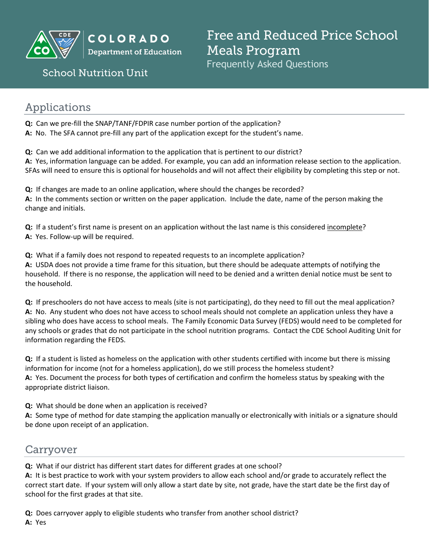

**COLORADO Department of Education** 

## **School Nutrition Unit**

Free and Reduced Price School **Meals Program** Frequently Asked Questions

# Applications

**Q:** Can we pre-fill the SNAP/TANF/FDPIR case number portion of the application? **A:** No. The SFA cannot pre-fill any part of the application except for the student's name.

**Q:** Can we add additional information to the application that is pertinent to our district? **A:** Yes, information language can be added. For example, you can add an information release section to the application. SFAs will need to ensure this is optional for households and will not affect their eligibility by completing this step or not.

**Q:** If changes are made to an online application, where should the changes be recorded? **A:** In the comments section or written on the paper application. Include the date, name of the person making the change and initials.

**Q:** If a student's first name is present on an application without the last name is this considered incomplete? **A:** Yes. Follow-up will be required.

**Q:** What if a family does not respond to repeated requests to an incomplete application? **A:** USDA does not provide a time frame for this situation, but there should be adequate attempts of notifying the household. If there is no response, the application will need to be denied and a written denial notice must be sent to the household.

**Q:** If preschoolers do not have access to meals (site is not participating), do they need to fill out the meal application? **A:** No. Any student who does not have access to school meals should not complete an application unless they have a sibling who does have access to school meals. The Family Economic Data Survey (FEDS) would need to be completed for any schools or grades that do not participate in the school nutrition programs. Contact the CDE School Auditing Unit for information regarding the FEDS.

**Q:** If a student is listed as homeless on the application with other students certified with income but there is missing information for income (not for a homeless application), do we still process the homeless student? **A:** Yes. Document the process for both types of certification and confirm the homeless status by speaking with the appropriate district liaison.

**Q:** What should be done when an application is received?

**A:** Some type of method for date stamping the application manually or electronically with initials or a signature should be done upon receipt of an application.

## Carryover

**Q:** What if our district has different start dates for different grades at one school?

**A:** It is best practice to work with your system providers to allow each school and/or grade to accurately reflect the correct start date. If your system will only allow a start date by site, not grade, have the start date be the first day of school for the first grades at that site.

**Q:** Does carryover apply to eligible students who transfer from another school district? **A:** Yes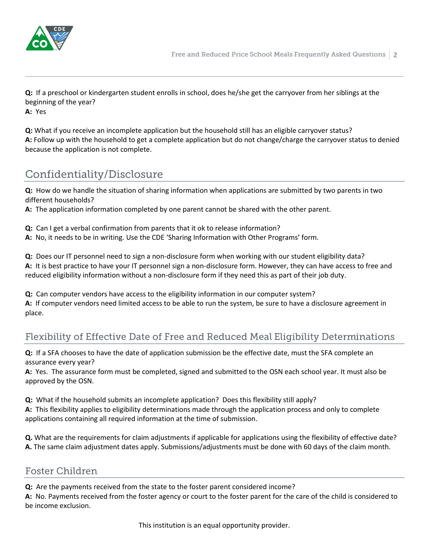

**Q:** If a preschool or kindergarten student enrolls in school, does he/she get the carryover from her siblings at the beginning of the year? **A:** Yes

**Q:** What if you receive an incomplete application but the household still has an eligible carryover status? **A:** Follow up with the household to get a complete application but do not change/charge the carryover status to denied because the application is not complete.

# Confidentiality/Disclosure

**Q:** How do we handle the situation of sharing information when applications are submitted by two parents in two different households?

**A:** The application information completed by one parent cannot be shared with the other parent.

**Q:** Can I get a verbal confirmation from parents that it ok to release information?

**A:** No, it needs to be in writing. Use the CDE 'Sharing Information with Other Programs' form.

**Q:** Does our IT personnel need to sign a non-disclosure form when working with our student eligibility data? **A:** It is best practice to have your IT personnel sign a non-disclosure form. However, they can have access to free and reduced eligibility information without a non-disclosure form if they need this as part of their job duty.

**Q:** Can computer vendors have access to the eligibility information in our computer system? **A:** If computer vendors need limited access to be able to run the system, be sure to have a disclosure agreement in place.

## Flexibility of Effective Date of Free and Reduced Meal Eligibility Determinations

**Q:** If a SFA chooses to have the date of application submission be the effective date, must the SFA complete an assurance every year?

**A:** Yes. The assurance form must be completed, signed and submitted to the OSN each school year. It must also be approved by the OSN.

**Q:** What if the household submits an incomplete application? Does this flexibility still apply?

**A:** This flexibility applies to eligibility determinations made through the application process and only to complete applications containing all required information at the time of submission.

**Q.** What are the requirements for claim adjustments if applicable for applications using the flexibility of effective date? **A.** The same claim adjustment dates apply. Submissions/adjustments must be done with 60 days of the claim month.

#### **Foster Children**

**Q:** Are the payments received from the state to the foster parent considered income?

**A:** No. Payments received from the foster agency or court to the foster parent for the care of the child is considered to be income exclusion.

This institution is an equal opportunity provider.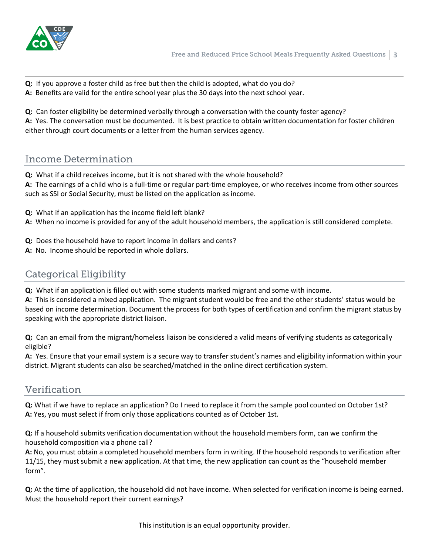

**Q:** If you approve a foster child as free but then the child is adopted, what do you do? **A:** Benefits are valid for the entire school year plus the 30 days into the next school year.

**Q:** Can foster eligibility be determined verbally through a conversation with the county foster agency? **A:** Yes. The conversation must be documented. It is best practice to obtain written documentation for foster children either through court documents or a letter from the human services agency.

## **Income Determination**

**Q:** What if a child receives income, but it is not shared with the whole household? **A:** The earnings of a child who is a full-time or regular part-time employee, or who receives income from other sources such as SSI or Social Security, must be listed on the application as income.

- **Q:** What if an application has the income field left blank?
- **A:** When no income is provided for any of the adult household members, the application is still considered complete.
- **Q:** Does the household have to report income in dollars and cents?
- **A:** No. Income should be reported in whole dollars.

## **Categorical Eligibility**

**Q:** What if an application is filled out with some students marked migrant and some with income.

**A:** This is considered a mixed application. The migrant student would be free and the other students' status would be based on income determination. Document the process for both types of certification and confirm the migrant status by speaking with the appropriate district liaison.

**Q:** Can an email from the migrant/homeless liaison be considered a valid means of verifying students as categorically eligible?

**A:** Yes. Ensure that your email system is a secure way to transfer student's names and eligibility information within your district. Migrant students can also be searched/matched in the online direct certification system.

#### Verification

**Q:** What if we have to replace an application? Do I need to replace it from the sample pool counted on October 1st? **A:** Yes, you must select if from only those applications counted as of October 1st.

**Q:** If a household submits verification documentation without the household members form, can we confirm the household composition via a phone call?

**A:** No, you must obtain a completed household members form in writing. If the household responds to verification after 11/15, they must submit a new application. At that time, the new application can count as the "household member form".

**Q:** At the time of application, the household did not have income. When selected for verification income is being earned. Must the household report their current earnings?

This institution is an equal opportunity provider.